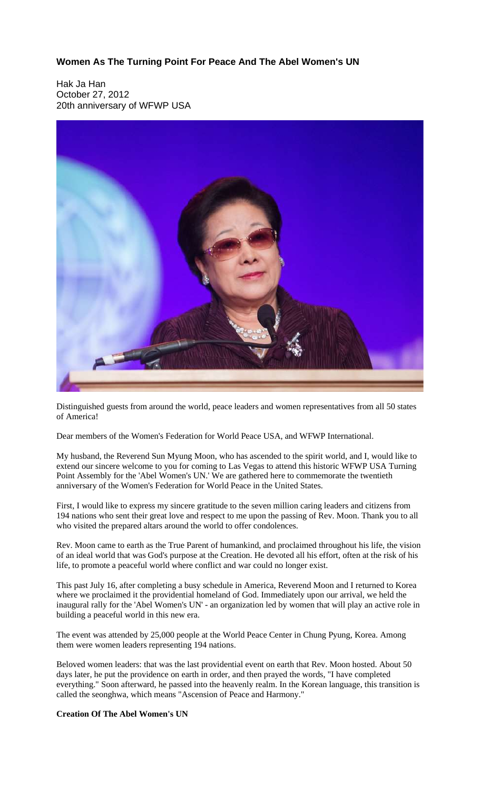**Women As The Turning Point For Peace And The Abel Women's UN**

Hak Ja Han October 27, 2012 20th anniversary of WFWP USA



Distinguished guests from around the world, peace leaders and women representatives from all 50 states of America!

Dear members of the Women's Federation for World Peace USA, and WFWP International.

My husband, the Reverend Sun Myung Moon, who has ascended to the spirit world, and I, would like to extend our sincere welcome to you for coming to Las Vegas to attend this historic WFWP USA Turning Point Assembly for the 'Abel Women's UN.' We are gathered here to commemorate the twentieth anniversary of the Women's Federation for World Peace in the United States.

First, I would like to express my sincere gratitude to the seven million caring leaders and citizens from 194 nations who sent their great love and respect to me upon the passing of Rev. Moon. Thank you to all who visited the prepared altars around the world to offer condolences.

Rev. Moon came to earth as the True Parent of humankind, and proclaimed throughout his life, the vision of an ideal world that was God's purpose at the Creation. He devoted all his effort, often at the risk of his life, to promote a peaceful world where conflict and war could no longer exist.

This past July 16, after completing a busy schedule in America, Reverend Moon and I returned to Korea where we proclaimed it the providential homeland of God. Immediately upon our arrival, we held the inaugural rally for the 'Abel Women's UN' - an organization led by women that will play an active role in building a peaceful world in this new era.

The event was attended by 25,000 people at the World Peace Center in Chung Pyung, Korea. Among them were women leaders representing 194 nations.

Beloved women leaders: that was the last providential event on earth that Rev. Moon hosted. About 50 days later, he put the providence on earth in order, and then prayed the words, "I have completed everything." Soon afterward, he passed into the heavenly realm. In the Korean language, this transition is called the seonghwa, which means "Ascension of Peace and Harmony."

**Creation Of The Abel Women's UN**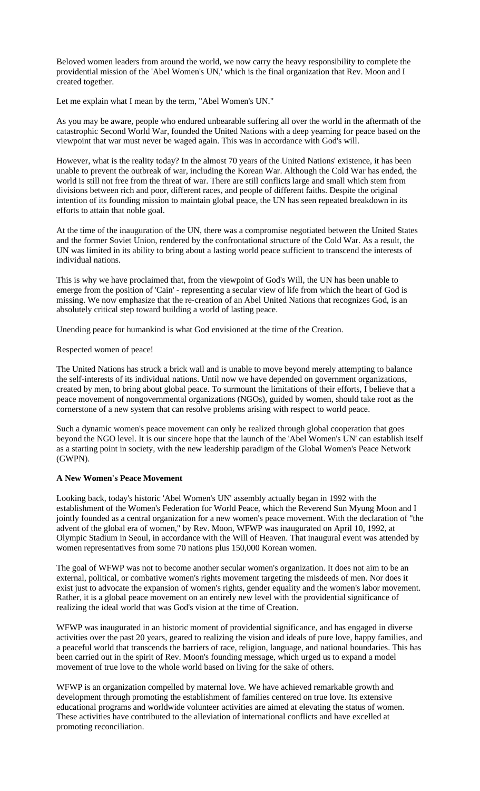Beloved women leaders from around the world, we now carry the heavy responsibility to complete the providential mission of the 'Abel Women's UN,' which is the final organization that Rev. Moon and I created together.

Let me explain what I mean by the term, "Abel Women's UN."

As you may be aware, people who endured unbearable suffering all over the world in the aftermath of the catastrophic Second World War, founded the United Nations with a deep yearning for peace based on the viewpoint that war must never be waged again. This was in accordance with God's will.

However, what is the reality today? In the almost 70 years of the United Nations' existence, it has been unable to prevent the outbreak of war, including the Korean War. Although the Cold War has ended, the world is still not free from the threat of war. There are still conflicts large and small which stem from divisions between rich and poor, different races, and people of different faiths. Despite the original intention of its founding mission to maintain global peace, the UN has seen repeated breakdown in its efforts to attain that noble goal.

At the time of the inauguration of the UN, there was a compromise negotiated between the United States and the former Soviet Union, rendered by the confrontational structure of the Cold War. As a result, the UN was limited in its ability to bring about a lasting world peace sufficient to transcend the interests of individual nations.

This is why we have proclaimed that, from the viewpoint of God's Will, the UN has been unable to emerge from the position of 'Cain' - representing a secular view of life from which the heart of God is missing. We now emphasize that the re-creation of an Abel United Nations that recognizes God, is an absolutely critical step toward building a world of lasting peace.

Unending peace for humankind is what God envisioned at the time of the Creation.

Respected women of peace!

The United Nations has struck a brick wall and is unable to move beyond merely attempting to balance the self-interests of its individual nations. Until now we have depended on government organizations, created by men, to bring about global peace. To surmount the limitations of their efforts, I believe that a peace movement of nongovernmental organizations (NGOs), guided by women, should take root as the cornerstone of a new system that can resolve problems arising with respect to world peace.

Such a dynamic women's peace movement can only be realized through global cooperation that goes beyond the NGO level. It is our sincere hope that the launch of the 'Abel Women's UN' can establish itself as a starting point in society, with the new leadership paradigm of the Global Women's Peace Network (GWPN).

#### **A New Women's Peace Movement**

Looking back, today's historic 'Abel Women's UN' assembly actually began in 1992 with the establishment of the Women's Federation for World Peace, which the Reverend Sun Myung Moon and I jointly founded as a central organization for a new women's peace movement. With the declaration of "the advent of the global era of women," by Rev. Moon, WFWP was inaugurated on April 10, 1992, at Olympic Stadium in Seoul, in accordance with the Will of Heaven. That inaugural event was attended by women representatives from some 70 nations plus 150,000 Korean women.

The goal of WFWP was not to become another secular women's organization. It does not aim to be an external, political, or combative women's rights movement targeting the misdeeds of men. Nor does it exist just to advocate the expansion of women's rights, gender equality and the women's labor movement. Rather, it is a global peace movement on an entirely new level with the providential significance of realizing the ideal world that was God's vision at the time of Creation.

WFWP was inaugurated in an historic moment of providential significance, and has engaged in diverse activities over the past 20 years, geared to realizing the vision and ideals of pure love, happy families, and a peaceful world that transcends the barriers of race, religion, language, and national boundaries. This has been carried out in the spirit of Rev. Moon's founding message, which urged us to expand a model movement of true love to the whole world based on living for the sake of others.

WFWP is an organization compelled by maternal love. We have achieved remarkable growth and development through promoting the establishment of families centered on true love. Its extensive educational programs and worldwide volunteer activities are aimed at elevating the status of women. These activities have contributed to the alleviation of international conflicts and have excelled at promoting reconciliation.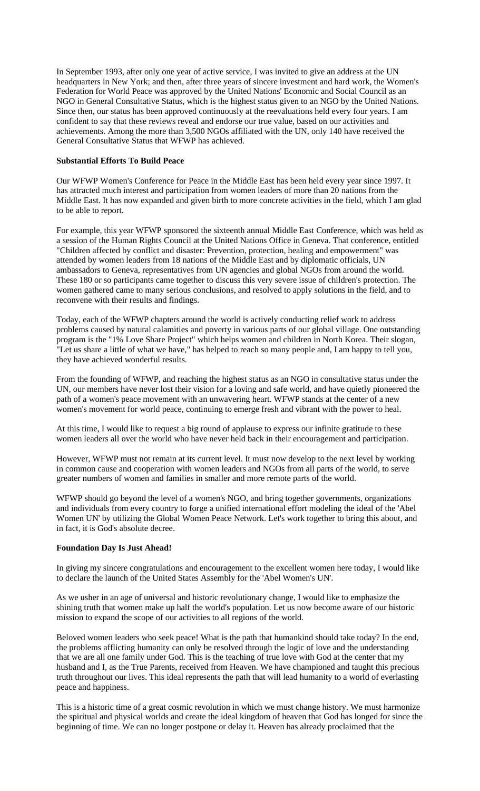In September 1993, after only one year of active service, I was invited to give an address at the UN headquarters in New York; and then, after three years of sincere investment and hard work, the Women's Federation for World Peace was approved by the United Nations' Economic and Social Council as an NGO in General Consultative Status, which is the highest status given to an NGO by the United Nations. Since then, our status has been approved continuously at the reevaluations held every four years. I am confident to say that these reviews reveal and endorse our true value, based on our activities and achievements. Among the more than 3,500 NGOs affiliated with the UN, only 140 have received the General Consultative Status that WFWP has achieved.

# **Substantial Efforts To Build Peace**

Our WFWP Women's Conference for Peace in the Middle East has been held every year since 1997. It has attracted much interest and participation from women leaders of more than 20 nations from the Middle East. It has now expanded and given birth to more concrete activities in the field, which I am glad to be able to report.

For example, this year WFWP sponsored the sixteenth annual Middle East Conference, which was held as a session of the Human Rights Council at the United Nations Office in Geneva. That conference, entitled "Children affected by conflict and disaster: Prevention, protection, healing and empowerment" was attended by women leaders from 18 nations of the Middle East and by diplomatic officials, UN ambassadors to Geneva, representatives from UN agencies and global NGOs from around the world. These 180 or so participants came together to discuss this very severe issue of children's protection. The women gathered came to many serious conclusions, and resolved to apply solutions in the field, and to reconvene with their results and findings.

Today, each of the WFWP chapters around the world is actively conducting relief work to address problems caused by natural calamities and poverty in various parts of our global village. One outstanding program is the "1% Love Share Project" which helps women and children in North Korea. Their slogan, "Let us share a little of what we have," has helped to reach so many people and, I am happy to tell you, they have achieved wonderful results.

From the founding of WFWP, and reaching the highest status as an NGO in consultative status under the UN, our members have never lost their vision for a loving and safe world, and have quietly pioneered the path of a women's peace movement with an unwavering heart. WFWP stands at the center of a new women's movement for world peace, continuing to emerge fresh and vibrant with the power to heal.

At this time, I would like to request a big round of applause to express our infinite gratitude to these women leaders all over the world who have never held back in their encouragement and participation.

However, WFWP must not remain at its current level. It must now develop to the next level by working in common cause and cooperation with women leaders and NGOs from all parts of the world, to serve greater numbers of women and families in smaller and more remote parts of the world.

WFWP should go beyond the level of a women's NGO, and bring together governments, organizations and individuals from every country to forge a unified international effort modeling the ideal of the 'Abel Women UN' by utilizing the Global Women Peace Network. Let's work together to bring this about, and in fact, it is God's absolute decree.

# **Foundation Day Is Just Ahead!**

In giving my sincere congratulations and encouragement to the excellent women here today, I would like to declare the launch of the United States Assembly for the 'Abel Women's UN'.

As we usher in an age of universal and historic revolutionary change, I would like to emphasize the shining truth that women make up half the world's population. Let us now become aware of our historic mission to expand the scope of our activities to all regions of the world.

Beloved women leaders who seek peace! What is the path that humankind should take today? In the end, the problems afflicting humanity can only be resolved through the logic of love and the understanding that we are all one family under God. This is the teaching of true love with God at the center that my husband and I, as the True Parents, received from Heaven. We have championed and taught this precious truth throughout our lives. This ideal represents the path that will lead humanity to a world of everlasting peace and happiness.

This is a historic time of a great cosmic revolution in which we must change history. We must harmonize the spiritual and physical worlds and create the ideal kingdom of heaven that God has longed for since the beginning of time. We can no longer postpone or delay it. Heaven has already proclaimed that the